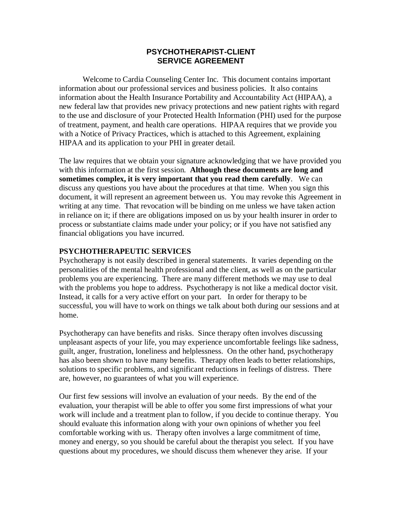# **PSYCHOTHERAPIST-CLIENT SERVICE AGREEMENT**

Welcome to Cardia Counseling Center Inc. This document contains important information about our professional services and business policies. It also contains information about the Health Insurance Portability and Accountability Act (HIPAA), a new federal law that provides new privacy protections and new patient rights with regard to the use and disclosure of your Protected Health Information (PHI) used for the purpose of treatment, payment, and health care operations. HIPAA requires that we provide you with a Notice of Privacy Practices, which is attached to this Agreement, explaining HIPAA and its application to your PHI in greater detail.

The law requires that we obtain your signature acknowledging that we have provided you with this information at the first session. **Although these documents are long and sometimes complex, it is very important that you read them carefully**. We can discuss any questions you have about the procedures at that time. When you sign this document, it will represent an agreement between us. You may revoke this Agreement in writing at any time. That revocation will be binding on me unless we have taken action in reliance on it; if there are obligations imposed on us by your health insurer in order to process or substantiate claims made under your policy; or if you have not satisfied any financial obligations you have incurred.

## **PSYCHOTHERAPEUTIC SERVICES**

Psychotherapy is not easily described in general statements. It varies depending on the personalities of the mental health professional and the client, as well as on the particular problems you are experiencing. There are many different methods we may use to deal with the problems you hope to address. Psychotherapy is not like a medical doctor visit. Instead, it calls for a very active effort on your part. In order for therapy to be successful, you will have to work on things we talk about both during our sessions and at home.

Psychotherapy can have benefits and risks. Since therapy often involves discussing unpleasant aspects of your life, you may experience uncomfortable feelings like sadness, guilt, anger, frustration, loneliness and helplessness. On the other hand, psychotherapy has also been shown to have many benefits. Therapy often leads to better relationships, solutions to specific problems, and significant reductions in feelings of distress. There are, however, no guarantees of what you will experience.

Our first few sessions will involve an evaluation of your needs. By the end of the evaluation, your therapist will be able to offer you some first impressions of what your work will include and a treatment plan to follow, if you decide to continue therapy. You should evaluate this information along with your own opinions of whether you feel comfortable working with us. Therapy often involves a large commitment of time, money and energy, so you should be careful about the therapist you select. If you have questions about my procedures, we should discuss them whenever they arise. If your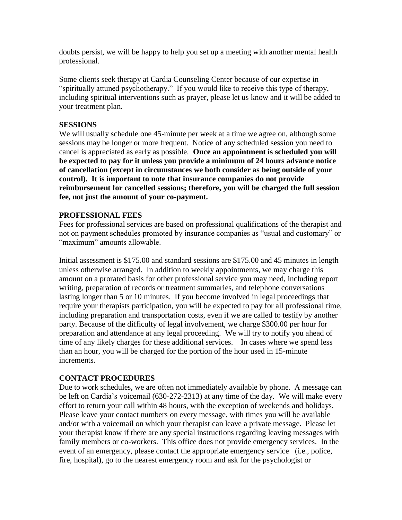doubts persist, we will be happy to help you set up a meeting with another mental health professional.

Some clients seek therapy at Cardia Counseling Center because of our expertise in "spiritually attuned psychotherapy." If you would like to receive this type of therapy, including spiritual interventions such as prayer, please let us know and it will be added to your treatment plan.

### **SESSIONS**

We will usually schedule one 45-minute per week at a time we agree on, although some sessions may be longer or more frequent. Notice of any scheduled session you need to cancel is appreciated as early as possible. **Once an appointment is scheduled you will be expected to pay for it unless you provide a minimum of 24 hours advance notice of cancellation (except in circumstances we both consider as being outside of your control). It is important to note that insurance companies do not provide reimbursement for cancelled sessions; therefore, you will be charged the full session fee, not just the amount of your co-payment.** 

### **PROFESSIONAL FEES**

Fees for professional services are based on professional qualifications of the therapist and not on payment schedules promoted by insurance companies as "usual and customary" or "maximum" amounts allowable.

Initial assessment is \$175.00 and standard sessions are \$175.00 and 45 minutes in length unless otherwise arranged. In addition to weekly appointments, we may charge this amount on a prorated basis for other professional service you may need, including report writing, preparation of records or treatment summaries, and telephone conversations lasting longer than 5 or 10 minutes. If you become involved in legal proceedings that require your therapists participation, you will be expected to pay for all professional time, including preparation and transportation costs, even if we are called to testify by another party. Because of the difficulty of legal involvement, we charge \$300.00 per hour for preparation and attendance at any legal proceeding. We will try to notify you ahead of time of any likely charges for these additional services. In cases where we spend less than an hour, you will be charged for the portion of the hour used in 15-minute increments.

#### **CONTACT PROCEDURES**

Due to work schedules, we are often not immediately available by phone. A message can be left on Cardia's voicemail (630-272-2313) at any time of the day. We will make every effort to return your call within 48 hours, with the exception of weekends and holidays. Please leave your contact numbers on every message, with times you will be available and/or with a voicemail on which your therapist can leave a private message. Please let your therapist know if there are any special instructions regarding leaving messages with family members or co-workers. This office does not provide emergency services. In the event of an emergency, please contact the appropriate emergency service (i.e., police, fire, hospital), go to the nearest emergency room and ask for the psychologist or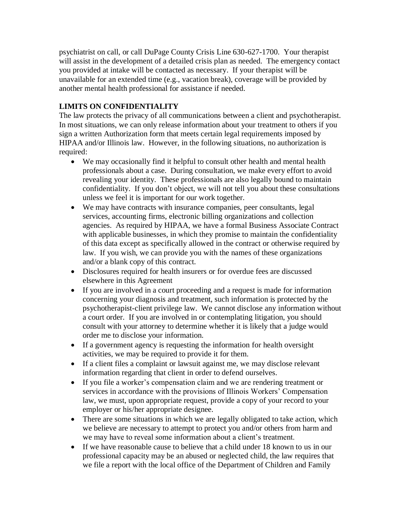psychiatrist on call, or call DuPage County Crisis Line 630-627-1700. Your therapist will assist in the development of a detailed crisis plan as needed. The emergency contact you provided at intake will be contacted as necessary. If your therapist will be unavailable for an extended time (e.g., vacation break), coverage will be provided by another mental health professional for assistance if needed.

# **LIMITS ON CONFIDENTIALITY**

The law protects the privacy of all communications between a client and psychotherapist. In most situations, we can only release information about your treatment to others if you sign a written Authorization form that meets certain legal requirements imposed by HIPAA and/or Illinois law. However, in the following situations, no authorization is required:

- We may occasionally find it helpful to consult other health and mental health professionals about a case. During consultation, we make every effort to avoid revealing your identity. These professionals are also legally bound to maintain confidentiality. If you don't object, we will not tell you about these consultations unless we feel it is important for our work together.
- We may have contracts with insurance companies, peer consultants, legal services, accounting firms, electronic billing organizations and collection agencies. As required by HIPAA, we have a formal Business Associate Contract with applicable businesses, in which they promise to maintain the confidentiality of this data except as specifically allowed in the contract or otherwise required by law. If you wish, we can provide you with the names of these organizations and/or a blank copy of this contract.
- Disclosures required for health insurers or for overdue fees are discussed elsewhere in this Agreement
- If you are involved in a court proceeding and a request is made for information concerning your diagnosis and treatment, such information is protected by the psychotherapist-client privilege law. We cannot disclose any information without a court order. If you are involved in or contemplating litigation, you should consult with your attorney to determine whether it is likely that a judge would order me to disclose your information.
- If a government agency is requesting the information for health oversight activities, we may be required to provide it for them.
- If a client files a complaint or lawsuit against me, we may disclose relevant information regarding that client in order to defend ourselves.
- If you file a worker's compensation claim and we are rendering treatment or services in accordance with the provisions of Illinois Workers' Compensation law, we must, upon appropriate request, provide a copy of your record to your employer or his/her appropriate designee.
- There are some situations in which we are legally obligated to take action, which we believe are necessary to attempt to protect you and/or others from harm and we may have to reveal some information about a client's treatment.
- If we have reasonable cause to believe that a child under 18 known to us in our professional capacity may be an abused or neglected child, the law requires that we file a report with the local office of the Department of Children and Family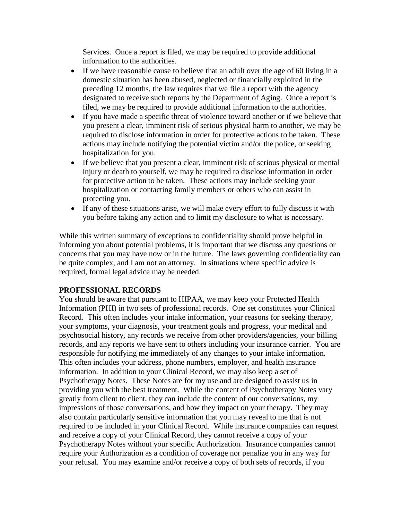Services. Once a report is filed, we may be required to provide additional information to the authorities.

- If we have reasonable cause to believe that an adult over the age of 60 living in a domestic situation has been abused, neglected or financially exploited in the preceding 12 months, the law requires that we file a report with the agency designated to receive such reports by the Department of Aging. Once a report is filed, we may be required to provide additional information to the authorities.
- If you have made a specific threat of violence toward another or if we believe that you present a clear, imminent risk of serious physical harm to another, we may be required to disclose information in order for protective actions to be taken. These actions may include notifying the potential victim and/or the police, or seeking hospitalization for you.
- If we believe that you present a clear, imminent risk of serious physical or mental injury or death to yourself, we may be required to disclose information in order for protective action to be taken. These actions may include seeking your hospitalization or contacting family members or others who can assist in protecting you.
- If any of these situations arise, we will make every effort to fully discuss it with you before taking any action and to limit my disclosure to what is necessary.

While this written summary of exceptions to confidentiality should prove helpful in informing you about potential problems, it is important that we discuss any questions or concerns that you may have now or in the future. The laws governing confidentiality can be quite complex, and I am not an attorney. In situations where specific advice is required, formal legal advice may be needed.

# **PROFESSIONAL RECORDS**

You should be aware that pursuant to HIPAA, we may keep your Protected Health Information (PHI) in two sets of professional records. One set constitutes your Clinical Record. This often includes your intake information, your reasons for seeking therapy, your symptoms, your diagnosis, your treatment goals and progress, your medical and psychosocial history, any records we receive from other providers/agencies, your billing records, and any reports we have sent to others including your insurance carrier. You are responsible for notifying me immediately of any changes to your intake information. This often includes your address, phone numbers, employer, and health insurance information. In addition to your Clinical Record, we may also keep a set of Psychotherapy Notes. These Notes are for my use and are designed to assist us in providing you with the best treatment. While the content of Psychotherapy Notes vary greatly from client to client, they can include the content of our conversations, my impressions of those conversations, and how they impact on your therapy. They may also contain particularly sensitive information that you may reveal to me that is not required to be included in your Clinical Record. While insurance companies can request and receive a copy of your Clinical Record, they cannot receive a copy of your Psychotherapy Notes without your specific Authorization. Insurance companies cannot require your Authorization as a condition of coverage nor penalize you in any way for your refusal. You may examine and/or receive a copy of both sets of records, if you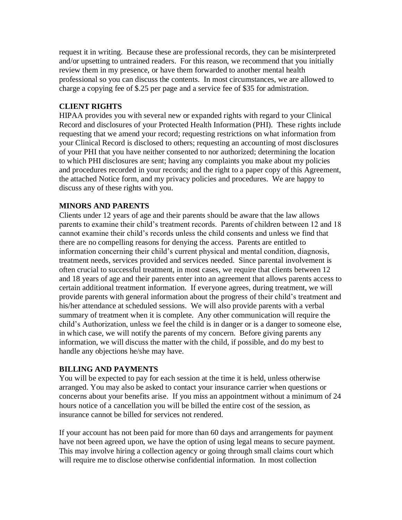request it in writing. Because these are professional records, they can be misinterpreted and/or upsetting to untrained readers. For this reason, we recommend that you initially review them in my presence, or have them forwarded to another mental health professional so you can discuss the contents. In most circumstances, we are allowed to charge a copying fee of \$.25 per page and a service fee of \$35 for admistration.

# **CLIENT RIGHTS**

HIPAA provides you with several new or expanded rights with regard to your Clinical Record and disclosures of your Protected Health Information (PHI). These rights include requesting that we amend your record; requesting restrictions on what information from your Clinical Record is disclosed to others; requesting an accounting of most disclosures of your PHI that you have neither consented to nor authorized; determining the location to which PHI disclosures are sent; having any complaints you make about my policies and procedures recorded in your records; and the right to a paper copy of this Agreement, the attached Notice form, and my privacy policies and procedures. We are happy to discuss any of these rights with you.

# **MINORS AND PARENTS**

Clients under 12 years of age and their parents should be aware that the law allows parents to examine their child's treatment records. Parents of children between 12 and 18 cannot examine their child's records unless the child consents and unless we find that there are no compelling reasons for denying the access. Parents are entitled to information concerning their child's current physical and mental condition, diagnosis, treatment needs, services provided and services needed. Since parental involvement is often crucial to successful treatment, in most cases, we require that clients between 12 and 18 years of age and their parents enter into an agreement that allows parents access to certain additional treatment information. If everyone agrees, during treatment, we will provide parents with general information about the progress of their child's treatment and his/her attendance at scheduled sessions. We will also provide parents with a verbal summary of treatment when it is complete. Any other communication will require the child's Authorization, unless we feel the child is in danger or is a danger to someone else, in which case, we will notify the parents of my concern. Before giving parents any information, we will discuss the matter with the child, if possible, and do my best to handle any objections he/she may have.

## **BILLING AND PAYMENTS**

You will be expected to pay for each session at the time it is held, unless otherwise arranged. You may also be asked to contact your insurance carrier when questions or concerns about your benefits arise. If you miss an appointment without a minimum of 24 hours notice of a cancellation you will be billed the entire cost of the session, as insurance cannot be billed for services not rendered.

If your account has not been paid for more than 60 days and arrangements for payment have not been agreed upon, we have the option of using legal means to secure payment. This may involve hiring a collection agency or going through small claims court which will require me to disclose otherwise confidential information. In most collection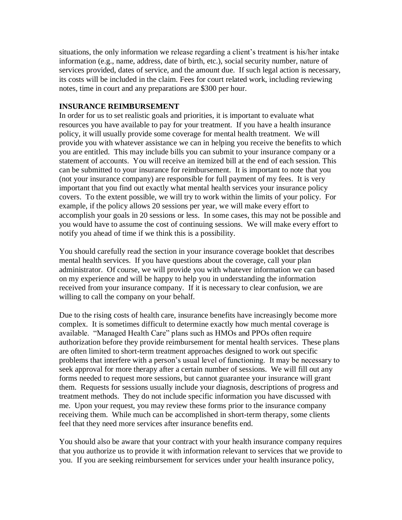situations, the only information we release regarding a client's treatment is his/her intake information (e.g., name, address, date of birth, etc.), social security number, nature of services provided, dates of service, and the amount due. If such legal action is necessary, its costs will be included in the claim. Fees for court related work, including reviewing notes, time in court and any preparations are \$300 per hour.

## **INSURANCE REIMBURSEMENT**

In order for us to set realistic goals and priorities, it is important to evaluate what resources you have available to pay for your treatment. If you have a health insurance policy, it will usually provide some coverage for mental health treatment. We will provide you with whatever assistance we can in helping you receive the benefits to which you are entitled. This may include bills you can submit to your insurance company or a statement of accounts. You will receive an itemized bill at the end of each session. This can be submitted to your insurance for reimbursement. It is important to note that you (not your insurance company) are responsible for full payment of my fees. It is very important that you find out exactly what mental health services your insurance policy covers. To the extent possible, we will try to work within the limits of your policy. For example, if the policy allows 20 sessions per year, we will make every effort to accomplish your goals in 20 sessions or less. In some cases, this may not be possible and you would have to assume the cost of continuing sessions. We will make every effort to notify you ahead of time if we think this is a possibility.

You should carefully read the section in your insurance coverage booklet that describes mental health services. If you have questions about the coverage, call your plan administrator. Of course, we will provide you with whatever information we can based on my experience and will be happy to help you in understanding the information received from your insurance company. If it is necessary to clear confusion, we are willing to call the company on your behalf.

Due to the rising costs of health care, insurance benefits have increasingly become more complex. It is sometimes difficult to determine exactly how much mental coverage is available. "Managed Health Care" plans such as HMOs and PPOs often require authorization before they provide reimbursement for mental health services. These plans are often limited to short-term treatment approaches designed to work out specific problems that interfere with a person's usual level of functioning. It may be necessary to seek approval for more therapy after a certain number of sessions. We will fill out any forms needed to request more sessions, but cannot guarantee your insurance will grant them. Requests for sessions usually include your diagnosis, descriptions of progress and treatment methods. They do not include specific information you have discussed with me. Upon your request, you may review these forms prior to the insurance company receiving them. While much can be accomplished in short-term therapy, some clients feel that they need more services after insurance benefits end.

You should also be aware that your contract with your health insurance company requires that you authorize us to provide it with information relevant to services that we provide to you. If you are seeking reimbursement for services under your health insurance policy,